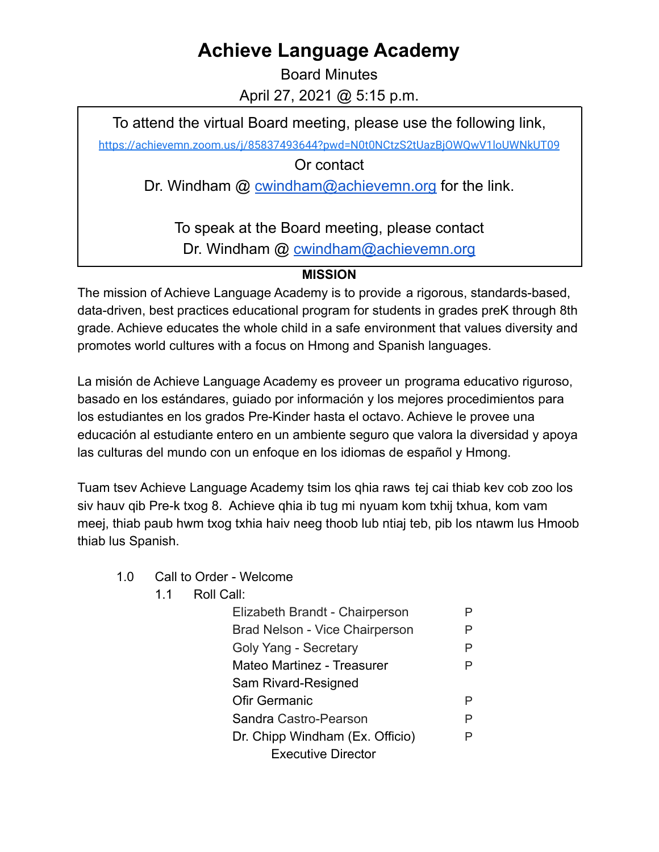## **Achieve Language Academy**

Board Minutes April 27, 2021 @ 5:15 p.m.

To attend the virtual Board meeting, please use the following link,

<https://achievemn.zoom.us/j/85837493644?pwd=N0t0NCtzS2tUazBjOWQwV1loUWNkUT09>

Or contact

Dr. Windham @ [cwindham@achievemn.org](mailto:cwindham@achievemn.org) for the link.

To speak at the Board meeting, please contact Dr. Windham @ [cwindham@achievemn.org](mailto:cwindham@achievemn.org)

## **MISSION**

The mission of Achieve Language Academy is to provide a rigorous, standards-based, data-driven, best practices educational program for students in grades preK through 8th grade. Achieve educates the whole child in a safe environment that values diversity and promotes world cultures with a focus on Hmong and Spanish languages.

La misión de Achieve Language Academy es proveer un programa educativo riguroso, basado en los estándares, guiado por información y los mejores procedimientos para los estudiantes en los grados Pre-Kinder hasta el octavo. Achieve le provee una educación al estudiante entero en un ambiente seguro que valora la diversidad y apoya las culturas del mundo con un enfoque en los idiomas de español y Hmong.

Tuam tsev Achieve Language Academy tsim los qhia raws tej cai thiab kev cob zoo los siv hauv qib Pre-k txog 8. Achieve qhia ib tug mi nyuam kom txhij txhua, kom vam meej, thiab paub hwm txog txhia haiv neeg thoob lub ntiaj teb, pib los ntawm lus Hmoob thiab lus Spanish.

- 1.0 Call to Order Welcome
	- 1.1 Roll Call:

| Elizabeth Brandt - Chairperson  |   |
|---------------------------------|---|
| Brad Nelson - Vice Chairperson  | Р |
| Goly Yang - Secretary           | Р |
| Mateo Martinez - Treasurer      |   |
| Sam Rivard-Resigned             |   |
| Ofir Germanic                   |   |
| Sandra Castro-Pearson           | P |
| Dr. Chipp Windham (Ex. Officio) | P |
| <b>Executive Director</b>       |   |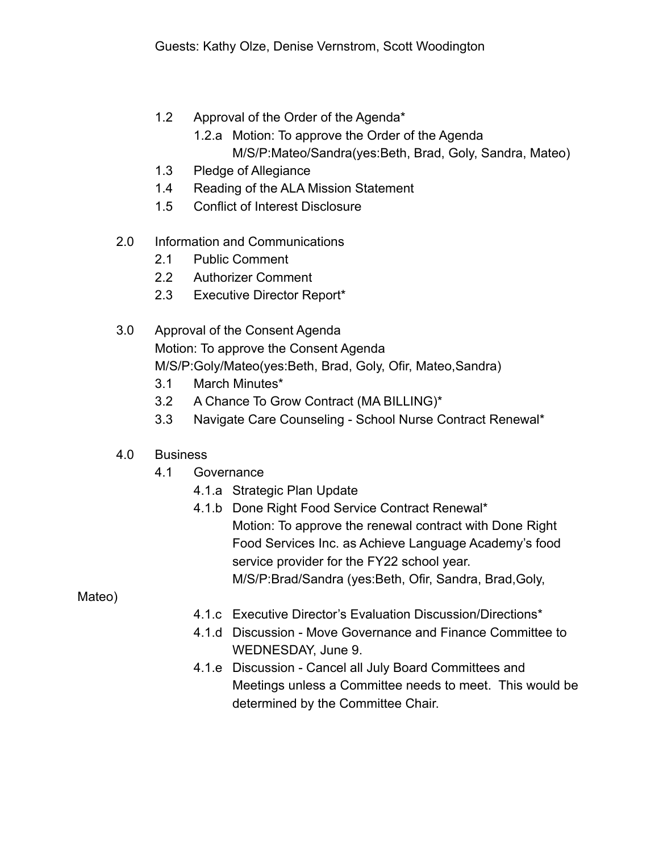- 1.2 Approval of the Order of the Agenda\*
	- 1.2.a Motion: To approve the Order of the Agenda
		- M/S/P:Mateo/Sandra(yes:Beth, Brad, Goly, Sandra, Mateo)
- 1.3 Pledge of Allegiance
- 1.4 Reading of the ALA Mission Statement
- 1.5 Conflict of Interest Disclosure
- 2.0 Information and Communications
	- 2.1 Public Comment
	- 2.2 Authorizer Comment
	- 2.3 Executive Director Report\*
- 3.0 Approval of the Consent Agenda Motion: To approve the Consent Agenda M/S/P:Goly/Mateo(yes:Beth, Brad, Goly, Ofir, Mateo,Sandra)
	- 3.1 March Minutes\*
	- 3.2 A Chance To Grow Contract (MA BILLING)\*
	- 3.3 Navigate Care Counseling School Nurse Contract Renewal\*

## 4.0 Business

- 4.1 Governance
	- 4.1.a Strategic Plan Update
	- 4.1.b Done Right Food Service Contract Renewal\* Motion: To approve the renewal contract with Done Right Food Services Inc. as Achieve Language Academy's food service provider for the FY22 school year. M/S/P:Brad/Sandra (yes:Beth, Ofir, Sandra, Brad,Goly,

Mateo)

- 4.1.c Executive Director's Evaluation Discussion/Directions\*
- 4.1.d Discussion Move Governance and Finance Committee to WEDNESDAY, June 9.
- 4.1.e Discussion Cancel all July Board Committees and Meetings unless a Committee needs to meet. This would be determined by the Committee Chair.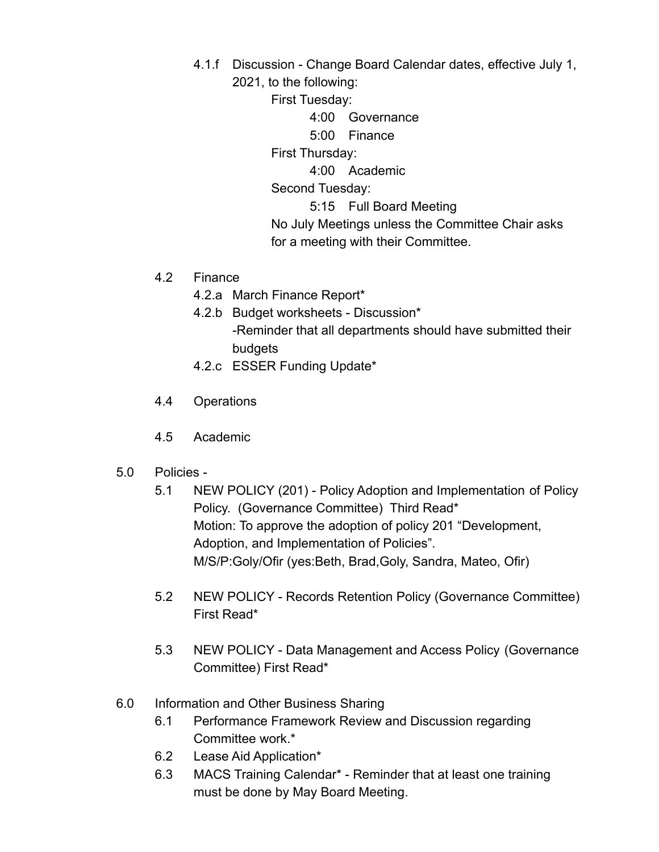- 4.1.f Discussion Change Board Calendar dates, effective July 1,
	- 2021, to the following:

First Tuesday:

4:00 Governance

5:00 Finance

First Thursday:

4:00 Academic

Second Tuesday:

5:15 Full Board Meeting

No July Meetings unless the Committee Chair asks for a meeting with their Committee.

- 4.2 Finance
	- 4.2.a March Finance Report\*
	- 4.2.b Budget worksheets Discussion\* -Reminder that all departments should have submitted their budgets
	- 4.2.c ESSER Funding Update\*
- 4.4 Operations
- 4.5 Academic
- 5.0 Policies
	- 5.1 NEW POLICY (201) Policy Adoption and Implementation of Policy Policy. (Governance Committee) Third Read\* Motion: To approve the adoption of policy 201 "Development, Adoption, and Implementation of Policies". M/S/P:Goly/Ofir (yes:Beth, Brad,Goly, Sandra, Mateo, Ofir)
	- 5.2 NEW POLICY Records Retention Policy (Governance Committee) First Read\*
	- 5.3 NEW POLICY Data Management and Access Policy (Governance Committee) First Read\*
- 6.0 Information and Other Business Sharing
	- 6.1 Performance Framework Review and Discussion regarding Committee work.\*
	- 6.2 Lease Aid Application\*
	- 6.3 MACS Training Calendar\* Reminder that at least one training must be done by May Board Meeting.